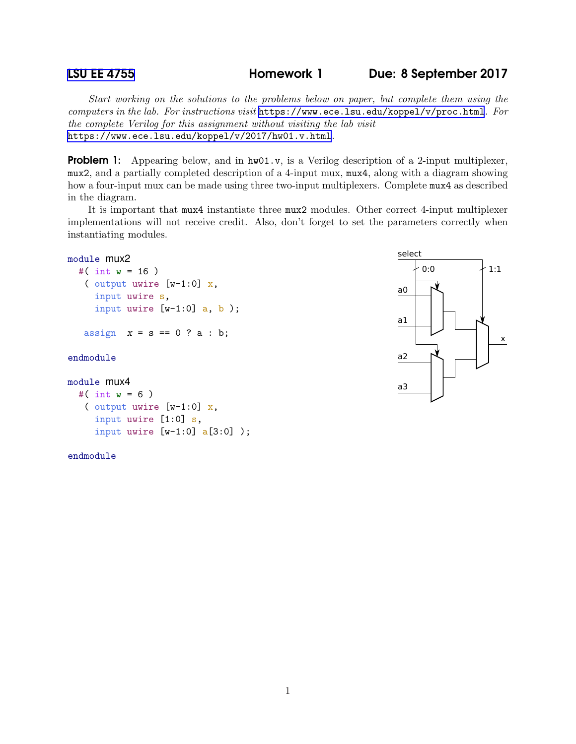[LSU EE 4755](https://www.ece.lsu.edu/koppel/v/) **Homework 1** Due: 8 September 2017

x

Start working on the solutions to the problems below on paper, but complete them using the computers in the lab. For instructions visit <https://www.ece.lsu.edu/koppel/v/proc.html>. For the complete Verilog for this assignment without visiting the lab visit <https://www.ece.lsu.edu/koppel/v/2017/hw01.v.html>.

**Problem 1:** Appearing below, and in  $h\text{w01.}v$ , is a Verilog description of a 2-input multiplexer, mux2, and a partially completed description of a 4-input mux, mux4, along with a diagram showing how a four-input mux can be made using three two-input multiplexers. Complete mux4 as described in the diagram.

It is important that mux4 instantiate three mux2 modules. Other correct 4-input multiplexer implementations will not receive credit. Also, don't forget to set the parameters correctly when instantiating modules.

## 0:0  $+1:1$ select a0 a1 a2 a3 module mux2 #( int  $w = 16$  ) ( output uwire [w-1:0] x, input uwire s, input uwire  $[w-1:0]$  a, b ); assign  $x = s == 0$  ? a : b; endmodule module mux4 #( int  $w = 6$  ) ( output uwire [w-1:0] x, input uwire [1:0] s,

endmodule

input uwire [w-1:0] a[3:0] );